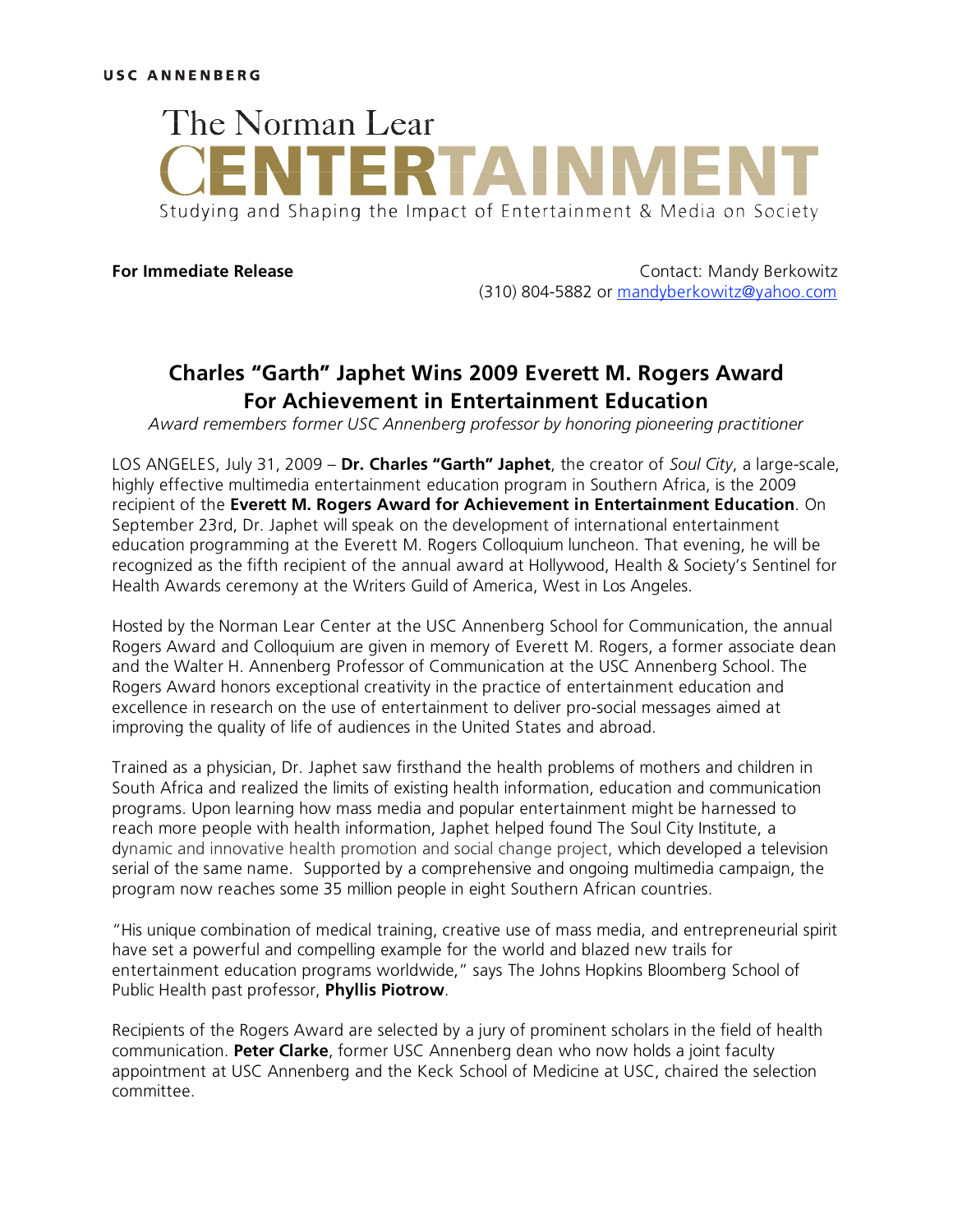

**For Immediate Release Contact: Mandy Berkowitz** (310) 804-5882 or mandyberkowitz@yahoo.com

## **Charles "Garth" Japhet Wins 2009 Everett M. Rogers Award For Achievement in Entertainment Education**

*Award remembers former USC Annenberg professor by honoring pioneering practitioner*

LOS ANGELES, July 31, 2009 – **Dr. Charles "Garth" Japhet**, the creator of *Soul City*, a large-scale, highly effective multimedia entertainment education program in Southern Africa, is the 2009 recipient of the **Everett M. Rogers Award for Achievement in Entertainment Education**. On September 23rd, Dr. Japhet will speak on the development of international entertainment education programming at the Everett M. Rogers Colloquium luncheon. That evening, he will be recognized as the fifth recipient of the annual award at Hollywood, Health & Society's Sentinel for Health Awards ceremony at the Writers Guild of America, West in Los Angeles.

Hosted by the Norman Lear Center at the USC Annenberg School for Communication, the annual Rogers Award and Colloquium are given in memory of Everett M. Rogers, a former associate dean and the Walter H. Annenberg Professor of Communication at the USC Annenberg School. The Rogers Award honors exceptional creativity in the practice of entertainment education and excellence in research on the use of entertainment to deliver pro-social messages aimed at improving the quality of life of audiences in the United States and abroad.

Trained as a physician, Dr. Japhet saw firsthand the health problems of mothers and children in South Africa and realized the limits of existing health information, education and communication programs. Upon learning how mass media and popular entertainment might be harnessed to reach more people with health information, Japhet helped found The Soul City Institute, a dynamic and innovative health promotion and social change project, which developed a television serial of the same name. Supported by a comprehensive and ongoing multimedia campaign, the program now reaches some 35 million people in eight Southern African countries.

"His unique combination of medical training, creative use of mass media, and entrepreneurial spirit have set a powerful and compelling example for the world and blazed new trails for entertainment education programs worldwide," says The Johns Hopkins Bloomberg School of Public Health past professor, **Phyllis Piotrow**.

Recipients of the Rogers Award are selected by a jury of prominent scholars in the field of health communication. **Peter Clarke**, former USC Annenberg dean who now holds a joint faculty appointment at USC Annenberg and the Keck School of Medicine at USC, chaired the selection committee.